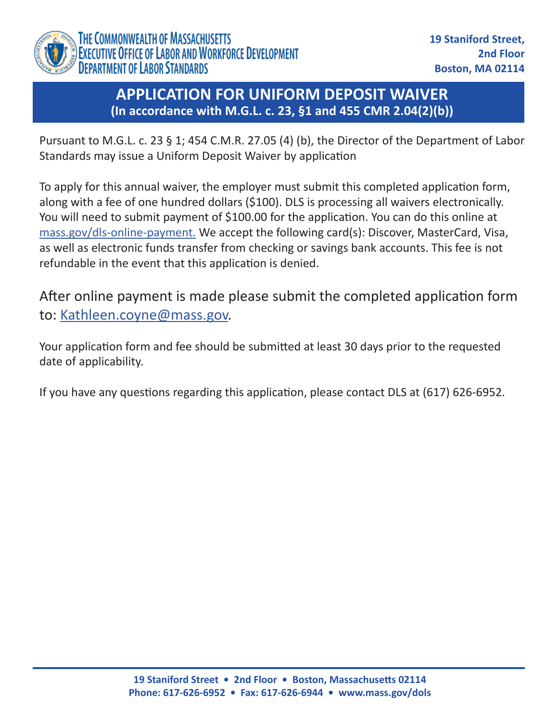

### **APPLICATION FOR UNIFORM DEPOSIT WAIVER (In accordance with M.G.L. c. 23, §1 and 455 CMR 2.04(2)(b))**

Pursuant to M.G.L. c. 23 § 1; 454 C.M.R. 27.05 (4) (b), the Director of the Department of Labor Standards may issue a Uniform Deposit Waiver by application

To apply for this annual waiver, the employer must submit this completed application form, along with a fee of one hundred dollars (\$100). DLS is processing all waivers electronically. You will need to submit payment of \$100.00 for the application. You can do this online at [mass.gov/dls-online-payment.](http://mass.gov/dls-online-payment.) We accept the following card(s): Discover, MasterCard, Visa, as well as electronic funds transfer from checking or savings bank accounts. This fee is not refundable in the event that this application is denied.

After online payment is made please submit the completed application form to: [Kathleen.coyne@mass.gov](mailto:kathleen.coyne@mass.gov).

Your application form and fee should be submitted at least 30 days prior to the requested date of applicability.

If you have any questions regarding this application, please contact DLS at (617) 626-6952.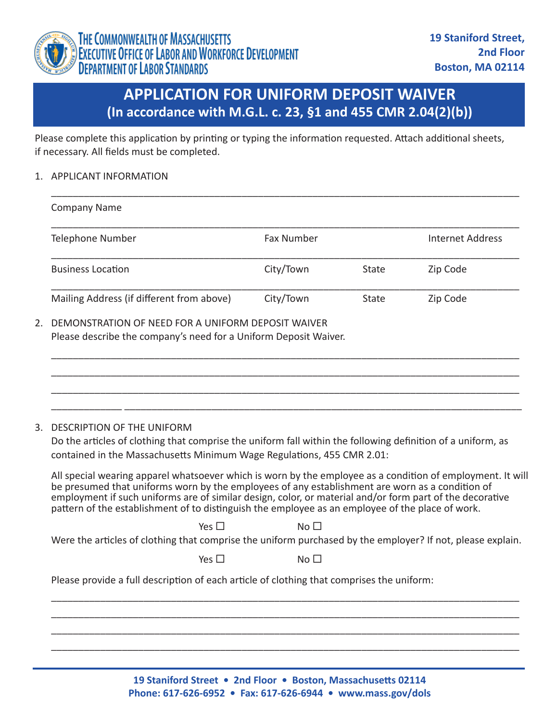

## **APPLICATION FOR UNIFORM DEPOSIT WAIVER (In accordance with M.G.L. c. 23, §1 and 455 CMR 2.04(2)(b))**

Please complete this application by printing or typing the information requested. Attach additional sheets, if necessary. All fields must be completed.

### 1. APPLICANT INFORMATION

| <b>Company Name</b>                       |                   |       |                  |
|-------------------------------------------|-------------------|-------|------------------|
| Telephone Number                          | <b>Fax Number</b> |       | Internet Address |
| <b>Business Location</b>                  | City/Town         | State | Zip Code         |
| Mailing Address (if different from above) | City/Town         | State | Zip Code         |

\_\_\_\_\_\_\_\_\_\_\_\_\_\_\_\_\_\_\_\_\_\_\_\_\_\_\_\_\_\_\_\_\_\_\_\_\_\_\_\_\_\_\_\_\_\_\_\_\_\_\_\_\_\_\_\_\_\_\_\_\_\_\_\_\_\_\_\_\_\_\_\_\_\_\_\_\_\_\_\_\_\_\_\_\_\_ \_\_\_\_\_\_\_\_\_\_\_\_\_\_\_\_\_\_\_\_\_\_\_\_\_\_\_\_\_\_\_\_\_\_\_\_\_\_\_\_\_\_\_\_\_\_\_\_\_\_\_\_\_\_\_\_\_\_\_\_\_\_\_\_\_\_\_\_\_\_\_\_\_\_\_\_\_\_\_\_\_\_\_\_\_\_ \_\_\_\_\_\_\_\_\_\_\_\_\_\_\_\_\_\_\_\_\_\_\_\_\_\_\_\_\_\_\_\_\_\_\_\_\_\_\_\_\_\_\_\_\_\_\_\_\_\_\_\_\_\_\_\_\_\_\_\_\_\_\_\_\_\_\_\_\_\_\_\_\_\_\_\_\_\_\_\_\_\_\_\_\_\_

\_\_\_\_\_\_\_\_\_\_\_\_\_\_\_\_\_\_\_\_\_\_\_\_\_\_\_\_\_\_\_\_\_\_\_\_\_\_\_\_\_\_\_\_\_\_\_\_\_\_\_\_\_\_\_\_\_\_\_\_\_\_\_\_\_\_\_\_\_\_\_\_\_\_\_\_\_\_\_\_\_\_\_\_\_\_

### 2. DEMONSTRATION OF NEED FOR A UNIFORM DEPOSIT WAIVER Please describe the company's need for a Uniform Deposit Waiver.

# \_\_\_\_\_\_\_\_\_\_\_\_\_ \_\_\_\_\_\_\_\_\_\_\_\_\_\_\_\_\_\_\_\_\_\_\_\_\_\_\_\_\_\_\_\_\_\_\_\_\_\_\_\_\_\_\_\_\_\_\_\_\_\_\_\_\_\_\_\_\_\_\_\_\_\_\_\_\_\_\_\_\_\_\_\_\_

3. DESCRIPTION OF THE UNIFORM Do the articles of clothing that comprise the uniform fall within the following definition of a uniform, as contained in the Massachusetts Minimum Wage Regulations, 455 CMR 2.01:

All special wearing apparel whatsoever which is worn by the employee as a condition of employment. It will be presumed that uniforms worn by the employees of any establishment are worn as a condition of employment if such uniforms are of similar design, color, or material and/or form part of the decorative pattern of the establishment of to distinguish the employee as an employee of the place of work.

 $Yes \Box$  No  $\Box$ Were the articles of clothing that comprise the uniform purchased by the employer? If not, please explain.

\_\_\_\_\_\_\_\_\_\_\_\_\_\_\_\_\_\_\_\_\_\_\_\_\_\_\_\_\_\_\_\_\_\_\_\_\_\_\_\_\_\_\_\_\_\_\_\_\_\_\_\_\_\_\_\_\_\_\_\_\_\_\_\_\_\_\_\_\_\_\_\_\_\_\_\_\_\_\_\_\_\_\_\_\_\_ \_\_\_\_\_\_\_\_\_\_\_\_\_\_\_\_\_\_\_\_\_\_\_\_\_\_\_\_\_\_\_\_\_\_\_\_\_\_\_\_\_\_\_\_\_\_\_\_\_\_\_\_\_\_\_\_\_\_\_\_\_\_\_\_\_\_\_\_\_\_\_\_\_\_\_\_\_\_\_\_\_\_\_\_\_\_ \_\_\_\_\_\_\_\_\_\_\_\_\_\_\_\_\_\_\_\_\_\_\_\_\_\_\_\_\_\_\_\_\_\_\_\_\_\_\_\_\_\_\_\_\_\_\_\_\_\_\_\_\_\_\_\_\_\_\_\_\_\_\_\_\_\_\_\_\_\_\_\_\_\_\_\_\_\_\_\_\_\_\_\_\_\_ \_\_\_\_\_\_\_\_\_\_\_\_\_\_\_\_\_\_\_\_\_\_\_\_\_\_\_\_\_\_\_\_\_\_\_\_\_\_\_\_\_\_\_\_\_\_\_\_\_\_\_\_\_\_\_\_\_\_\_\_\_\_\_\_\_\_\_\_\_\_\_\_\_\_\_\_\_\_\_\_\_\_\_\_\_\_

 $Yes \Box$  No  $\Box$ 

Please provide a full description of each article of clothing that comprises the uniform:

**19 Staniford Street • 2nd Floor • Boston, Massachusetts 02114 Phone: 617-626-6952 • Fax: 617-626-6944 • www.mass.gov/dols**